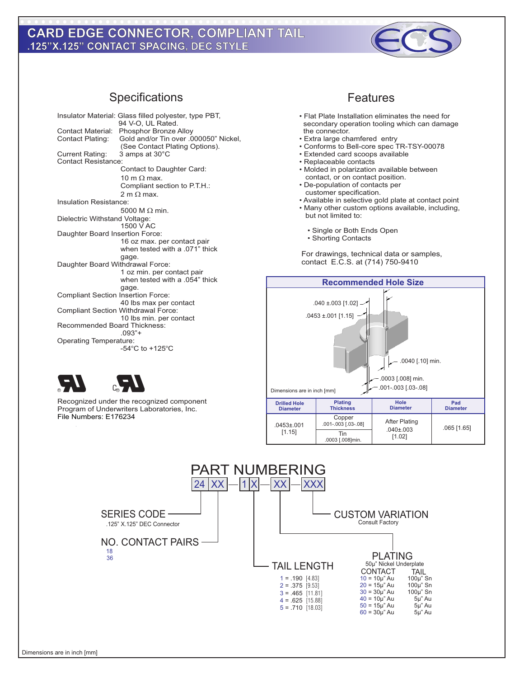## **Type M, Right Angle Male DIN .125"X.125" CONTACT SPACING, DEC STYLE CARD EDGE CONNECTOR, COMPLIANT TAIL**



## Specifications Features

| Insulator Material: Glass filled polyester, type PBT,<br>94 V-O, UL Rated. |                                            |
|----------------------------------------------------------------------------|--------------------------------------------|
| <b>Contact Material:</b>                                                   | Phosphor Bronze Alloy                      |
| <b>Contact Plating:</b>                                                    | Gold and/or Tin over .000050" Nickel,      |
|                                                                            | (See Contact Plating Options).             |
| <b>Current Rating:</b>                                                     | 3 amps at 30°C                             |
| <b>Contact Resistance:</b>                                                 |                                            |
| Contact to Daughter Card:                                                  |                                            |
|                                                                            |                                            |
|                                                                            | $10 \text{ m}$ O max.                      |
|                                                                            | Compliant section to P.T.H.:               |
|                                                                            | 2 m $\Omega$ max.                          |
| Insulation Resistance:                                                     |                                            |
|                                                                            | 5000 M $\Omega$ min.                       |
| Dielectric Withstand Voltage:                                              |                                            |
|                                                                            | 1500 V AC                                  |
| Daughter Board Insertion Force:                                            |                                            |
|                                                                            | 16 oz max. per contact pair                |
|                                                                            | when tested with a .071" thick             |
|                                                                            | gage.                                      |
| Daughter Board Withdrawal Force:                                           |                                            |
|                                                                            | 1 oz min. per contact pair                 |
|                                                                            | when tested with a .054" thick             |
|                                                                            |                                            |
| <b>Compliant Section Insertion Force:</b>                                  | gage.                                      |
|                                                                            |                                            |
|                                                                            | 40 lbs max per contact                     |
|                                                                            | <b>Compliant Section Withdrawal Force:</b> |
|                                                                            | 10 lbs min. per contact                    |
| <b>Recommended Board Thickness:</b>                                        |                                            |
| $.093"$ +                                                                  |                                            |
| Operating Temperature:                                                     |                                            |
|                                                                            | -54 $^{\circ}$ C to +125 $^{\circ}$ C      |
|                                                                            |                                            |

Recognized under the recognized component Program of Underwriters Laboratories, Inc.

File Numbers: E176234

**PERSONAL CO.** 



- Flat Plate Installation eliminates the need for secondary operation tooling which can damage the connector.
- Extra large chamfered entry
- Conforms to Bell-core spec TR-TSY-00078
- Extended card scoops available
- Replaceable contacts
- Molded in polarization available between contact, or on contact position.
- De-population of contacts per customer specification.
- Available in selective gold plate at contact point • Many other custom options available, including,
- but not limited to:
	- Single or Both Ends Open
	- Shorting Contacts

For drawings, technical data or samples, contact E.C.S. at (714) 750-9410